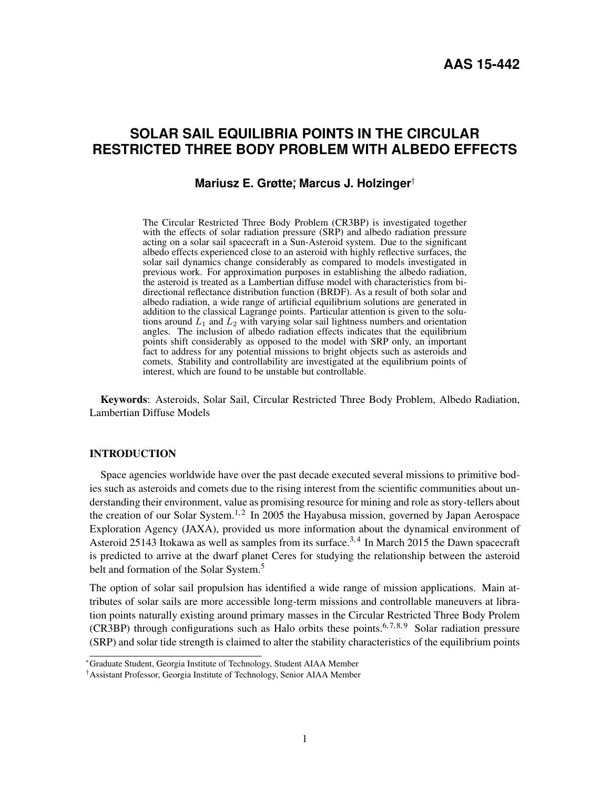# **SOLAR SAIL EQUILIBRIA POINTS IN THE CIRCULAR RESTRICTED THREE BODY PROBLEM WITH ALBEDO EFFECTS**

## **Mariusz E. Grøtte**<sup>∗</sup> **, Marcus J. Holzinger**†

The Circular Restricted Three Body Problem (CR3BP) is investigated together with the effects of solar radiation pressure (SRP) and albedo radiation pressure acting on a solar sail spacecraft in a Sun-Asteroid system. Due to the significant albedo effects experienced close to an asteroid with highly reflective surfaces, the solar sail dynamics change considerably as compared to models investigated in previous work. For approximation purposes in establishing the albedo radiation, the asteroid is treated as a Lambertian diffuse model with characteristics from bidirectional reflectance distribution function (BRDF). As a result of both solar and albedo radiation, a wide range of artificial equilibrium solutions are generated in addition to the classical Lagrange points. Particular attention is given to the solutions around  $L_1$  and  $L_2$  with varying solar sail lightness numbers and orientation angles. The inclusion of albedo radiation effects indicates that the equilibrium points shift considerably as opposed to the model with SRP only, an important fact to address for any potential missions to bright objects such as asteroids and comets. Stability and controllability are investigated at the equilibrium points of interest, which are found to be unstable but controllable.

Keywords: Asteroids, Solar Sail, Circular Restricted Three Body Problem, Albedo Radiation, Lambertian Diffuse Models

#### INTRODUCTION

Space agencies worldwide have over the past decade executed several missions to primitive bodies such as asteroids and comets due to the rising interest from the scientific communities about understanding their environment, value as promising resource for mining and role as story-tellers about the creation of our Solar System.<sup>[1,](#page-17-0)[2](#page-17-1)</sup> In 2005 the Hayabusa mission, governed by Japan Aerospace Exploration Agency (JAXA), provided us more information about the dynamical environment of Asteroid 25143 Itokawa as well as samples from its surface.<sup>[3,](#page-17-2)[4](#page-17-3)</sup> In March 2015 the Dawn spacecraft is predicted to arrive at the dwarf planet Ceres for studying the relationship between the asteroid belt and formation of the Solar System.<sup>[5](#page-17-4)</sup>

The option of solar sail propulsion has identified a wide range of mission applications. Main attributes of solar sails are more accessible long-term missions and controllable maneuvers at libration points naturally existing around primary masses in the Circular Restricted Three Body Prolem (CR3BP) through configurations such as Halo orbits these points.<sup>[6,](#page-17-5)[7,](#page-17-6)[8,](#page-17-7)[9](#page-17-8)</sup> Solar radiation pressure (SRP) and solar tide strength is claimed to alter the stability characteristics of the equilibrium points

<sup>∗</sup>Graduate Student, Georgia Institute of Technology, Student AIAA Member

<sup>†</sup>Assistant Professor, Georgia Institute of Technology, Senior AIAA Member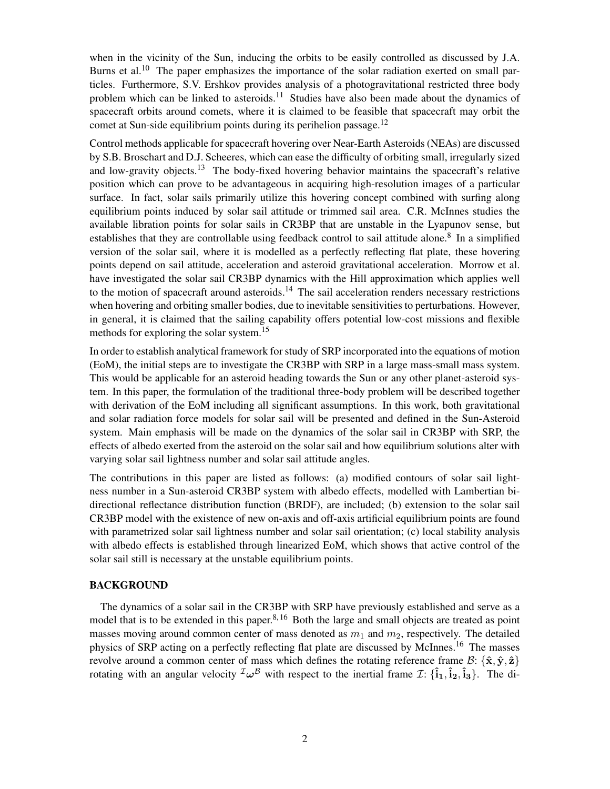when in the vicinity of the Sun, inducing the orbits to be easily controlled as discussed by J.A. Burns et al.<sup>[10](#page-17-9)</sup> The paper emphasizes the importance of the solar radiation exerted on small particles. Furthermore, S.V. Ershkov provides analysis of a photogravitational restricted three body problem which can be linked to asteroids.<sup>[11](#page-17-10)</sup> Studies have also been made about the dynamics of spacecraft orbits around comets, where it is claimed to be feasible that spacecraft may orbit the comet at Sun-side equilibrium points during its perihelion passage.<sup>[12](#page-17-11)</sup>

Control methods applicable for spacecraft hovering over Near-Earth Asteroids (NEAs) are discussed by S.B. Broschart and D.J. Scheeres, which can ease the difficulty of orbiting small, irregularly sized and low-gravity objects.<sup>[13](#page-17-12)</sup> The body-fixed hovering behavior maintains the spacecraft's relative position which can prove to be advantageous in acquiring high-resolution images of a particular surface. In fact, solar sails primarily utilize this hovering concept combined with surfing along equilibrium points induced by solar sail attitude or trimmed sail area. C.R. McInnes studies the available libration points for solar sails in CR3BP that are unstable in the Lyapunov sense, but establishes that they are controllable using feedback control to sail attitude alone.<sup>[8](#page-17-7)</sup> In a simplified version of the solar sail, where it is modelled as a perfectly reflecting flat plate, these hovering points depend on sail attitude, acceleration and asteroid gravitational acceleration. Morrow et al. have investigated the solar sail CR3BP dynamics with the Hill approximation which applies well to the motion of spacecraft around asteroids.<sup>[14](#page-17-13)</sup> The sail acceleration renders necessary restrictions when hovering and orbiting smaller bodies, due to inevitable sensitivities to perturbations. However, in general, it is claimed that the sailing capability offers potential low-cost missions and flexible methods for exploring the solar system.<sup>[15](#page-18-0)</sup>

In order to establish analytical framework for study of SRP incorporated into the equations of motion (EoM), the initial steps are to investigate the CR3BP with SRP in a large mass-small mass system. This would be applicable for an asteroid heading towards the Sun or any other planet-asteroid system. In this paper, the formulation of the traditional three-body problem will be described together with derivation of the EoM including all significant assumptions. In this work, both gravitational and solar radiation force models for solar sail will be presented and defined in the Sun-Asteroid system. Main emphasis will be made on the dynamics of the solar sail in CR3BP with SRP, the effects of albedo exerted from the asteroid on the solar sail and how equilibrium solutions alter with varying solar sail lightness number and solar sail attitude angles.

The contributions in this paper are listed as follows: (a) modified contours of solar sail lightness number in a Sun-asteroid CR3BP system with albedo effects, modelled with Lambertian bidirectional reflectance distribution function (BRDF), are included; (b) extension to the solar sail CR3BP model with the existence of new on-axis and off-axis artificial equilibrium points are found with parametrized solar sail lightness number and solar sail orientation; (c) local stability analysis with albedo effects is established through linearized EoM, which shows that active control of the solar sail still is necessary at the unstable equilibrium points.

## BACKGROUND

The dynamics of a solar sail in the CR3BP with SRP have previously established and serve as a model that is to be extended in this paper.<sup>[8,](#page-17-7) [16](#page-18-1)</sup> Both the large and small objects are treated as point masses moving around common center of mass denoted as  $m_1$  and  $m_2$ , respectively. The detailed physics of SRP acting on a perfectly reflecting flat plate are discussed by McInnes.[16](#page-18-1) The masses revolve around a common center of mass which defines the rotating reference frame  $\mathcal{B}$ :  $\{\hat{\mathbf{x}}, \hat{\mathbf{y}}, \hat{\mathbf{z}}\}$ rotating with an angular velocity  $^{\mathcal{I}}\omega^{\mathcal{B}}$  with respect to the inertial frame  $\mathcal{I}$ :  $\{\hat{\mathbf{i}}_1, \hat{\mathbf{i}}_2, \hat{\mathbf{i}}_3\}$ . The di-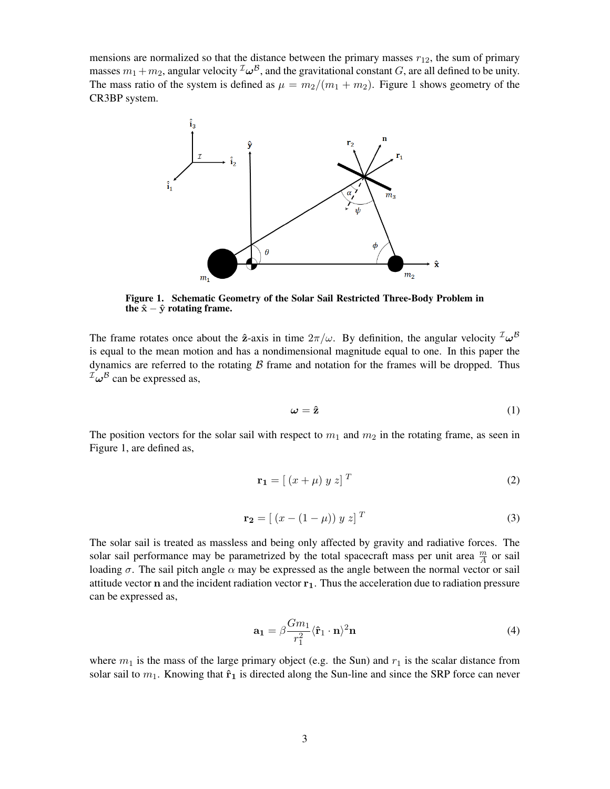mensions are normalized so that the distance between the primary masses  $r_{12}$ , the sum of primary masses  $m_1+m_2$ , angular velocity  $^{\mathcal{I}}\pmb{\omega}^{\mathcal{B}}$ , and the gravitational constant  $G$ , are all defined to be unity. The mass ratio of the system is defined as  $\mu = m_2/(m_1 + m_2)$ . Figure 1 shows geometry of the CR3BP system.



Figure 1. Schematic Geometry of the Solar Sail Restricted Three-Body Problem in the  $\hat{x} - \hat{y}$  rotating frame.

The frame rotates once about the  $\hat{z}$ -axis in time  $2\pi/\omega$ . By definition, the angular velocity  $^{\mathcal{I}}\omega^{\mathcal{B}}$ is equal to the mean motion and has a nondimensional magnitude equal to one. In this paper the dynamics are referred to the rotating  $\beta$  frame and notation for the frames will be dropped. Thus  $^{\mathcal{I}}\omega^{\mathcal{B}}$  can be expressed as,

$$
\omega = \hat{\mathbf{z}} \tag{1}
$$

The position vectors for the solar sail with respect to  $m_1$  and  $m_2$  in the rotating frame, as seen in Figure 1, are defined as,

$$
\mathbf{r_1} = \left[ \left( x + \mu \right) y \, z \right]^T \tag{2}
$$

$$
\mathbf{r_2} = [ (x - (1 - \mu)) y z ]^T
$$
 (3)

The solar sail is treated as massless and being only affected by gravity and radiative forces. The solar sail performance may be parametrized by the total spacecraft mass per unit area  $\frac{m}{A}$  or sail loading  $\sigma$ . The sail pitch angle  $\alpha$  may be expressed as the angle between the normal vector or sail attitude vector  $n$  and the incident radiation vector  $r_1$ . Thus the acceleration due to radiation pressure can be expressed as,

$$
\mathbf{a_1} = \beta \frac{Gm_1}{r_1^2} \langle \hat{\mathbf{r}}_1 \cdot \mathbf{n} \rangle^2 \mathbf{n}
$$
 (4)

where  $m_1$  is the mass of the large primary object (e.g. the Sun) and  $r_1$  is the scalar distance from solar sail to  $m_1$ . Knowing that  $\hat{\mathbf{r}}_1$  is directed along the Sun-line and since the SRP force can never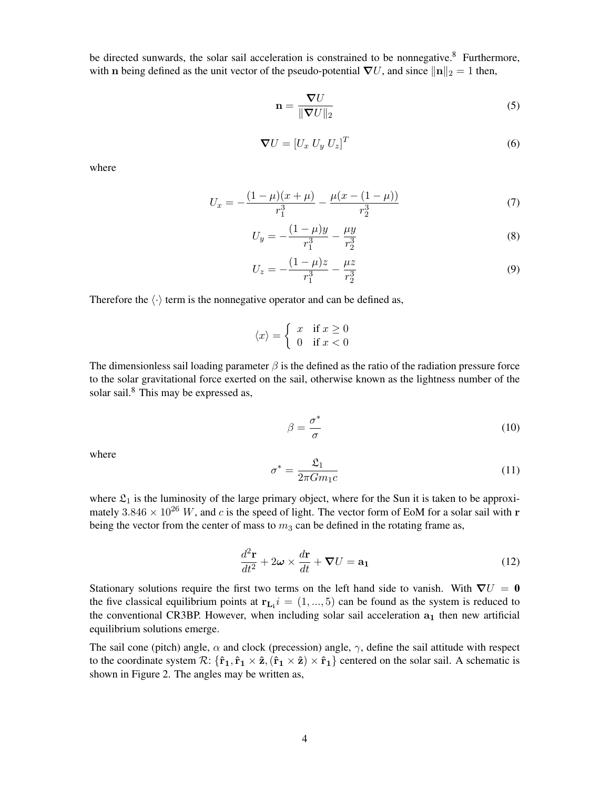be directed sunwards, the solar sail acceleration is constrained to be nonnegative.<sup>[8](#page-17-7)</sup> Furthermore, with n being defined as the unit vector of the pseudo-potential  $\nabla U$ , and since  $\|\mathbf{n}\|_2 = 1$  then,

$$
\mathbf{n} = \frac{\nabla U}{\|\nabla U\|_2} \tag{5}
$$

$$
\boldsymbol{\nabla}U = [U_x \ U_y \ U_z]^T \tag{6}
$$

where

$$
U_x = -\frac{(1-\mu)(x+\mu)}{r_1^3} - \frac{\mu(x-(1-\mu))}{r_2^3} \tag{7}
$$

$$
U_y = -\frac{(1-\mu)y}{r_1^3} - \frac{\mu y}{r_2^3} \tag{8}
$$

$$
U_z = -\frac{(1-\mu)z}{r_1^3} - \frac{\mu z}{r_2^3} \tag{9}
$$

Therefore the  $\langle \cdot \rangle$  term is the nonnegative operator and can be defined as,

$$
\langle x \rangle = \begin{cases} x & \text{if } x \ge 0 \\ 0 & \text{if } x < 0 \end{cases}
$$

The dimensionless sail loading parameter  $\beta$  is the defined as the ratio of the radiation pressure force to the solar gravitational force exerted on the sail, otherwise known as the lightness number of the solar sail.<sup>[8](#page-17-7)</sup> This may be expressed as,

$$
\beta = \frac{\sigma^*}{\sigma} \tag{10}
$$

where

$$
\sigma^* = \frac{\mathfrak{L}_1}{2\pi G m_1 c} \tag{11}
$$

where  $\mathfrak{L}_1$  is the luminosity of the large primary object, where for the Sun it is taken to be approximately  $3.846 \times 10^{26}$  W, and c is the speed of light. The vector form of EoM for a solar sail with r being the vector from the center of mass to  $m_3$  can be defined in the rotating frame as,

$$
\frac{d^2\mathbf{r}}{dt^2} + 2\boldsymbol{\omega} \times \frac{d\mathbf{r}}{dt} + \boldsymbol{\nabla} U = \mathbf{a_1}
$$
 (12)

Stationary solutions require the first two terms on the left hand side to vanish. With  $\nabla U = 0$ the five classical equilibrium points at  $r_{L_i}$   $i = (1, ..., 5)$  can be found as the system is reduced to the conventional CR3BP. However, when including solar sail acceleration  $a_1$  then new artificial equilibrium solutions emerge.

The sail cone (pitch) angle,  $\alpha$  and clock (precession) angle,  $\gamma$ , define the sail attitude with respect to the coordinate system  $\mathcal{R}$ :  $\{\hat{\mathbf{r}}_1, \hat{\mathbf{r}}_1 \times \hat{\mathbf{z}}_1, (\hat{\mathbf{r}}_1 \times \hat{\mathbf{z}}) \times \hat{\mathbf{r}}_1\}$  centered on the solar sail. A schematic is shown in Figure 2. The angles may be written as,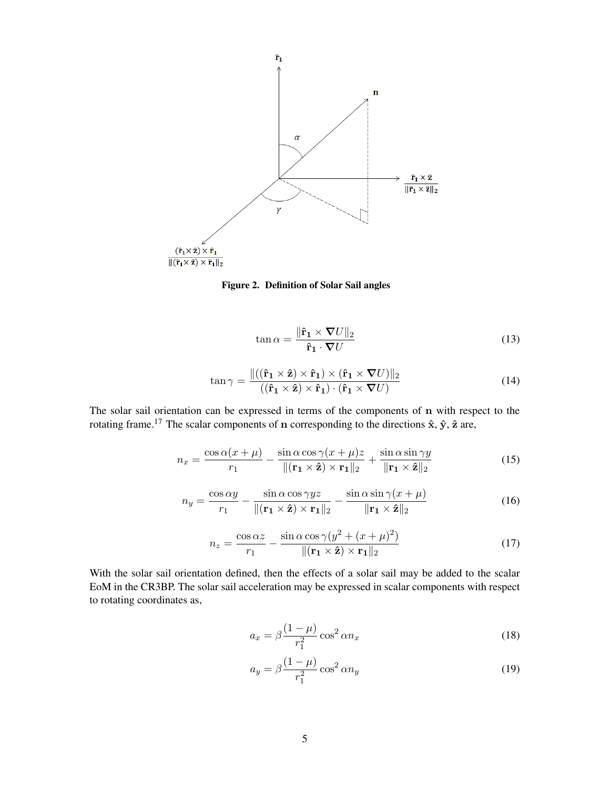



$$
\tan \alpha = \frac{\|\hat{\mathbf{r}}_1 \times \nabla U\|_2}{\hat{\mathbf{r}}_1 \cdot \nabla U}
$$
\n(13)

$$
\tan \gamma = \frac{\|((\hat{\mathbf{r}}_1 \times \hat{\mathbf{z}}) \times \hat{\mathbf{r}}_1) \times (\hat{\mathbf{r}}_1 \times \nabla U)\|_2}{((\hat{\mathbf{r}}_1 \times \hat{\mathbf{z}}) \times \hat{\mathbf{r}}_1) \cdot (\hat{\mathbf{r}}_1 \times \nabla U)}
$$
(14)

The solar sail orientation can be expressed in terms of the components of n with respect to the rotating frame.<sup>[17](#page-18-2)</sup> The scalar components of n corresponding to the directions  $\hat{\mathbf{x}}$ ,  $\hat{\mathbf{y}}$ ,  $\hat{\mathbf{z}}$  are,

$$
n_x = \frac{\cos \alpha (x + \mu)}{r_1} - \frac{\sin \alpha \cos \gamma (x + \mu)z}{\| (\mathbf{r}_1 \times \hat{\mathbf{z}}) \times \mathbf{r}_1 \|_2} + \frac{\sin \alpha \sin \gamma y}{\| \mathbf{r}_1 \times \hat{\mathbf{z}} \|_2}
$$
(15)

$$
n_y = \frac{\cos \alpha y}{r_1} - \frac{\sin \alpha \cos \gamma yz}{\| (\mathbf{r}_1 \times \hat{\mathbf{z}}) \times \mathbf{r}_1 \|_2} - \frac{\sin \alpha \sin \gamma (x + \mu)}{\| \mathbf{r}_1 \times \hat{\mathbf{z}} \|_2}
$$
(16)

$$
n_z = \frac{\cos \alpha z}{r_1} - \frac{\sin \alpha \cos \gamma (y^2 + (x + \mu)^2)}{\| (\mathbf{r}_1 \times \hat{\mathbf{z}}) \times \mathbf{r}_1 \|_2}
$$
(17)

With the solar sail orientation defined, then the effects of a solar sail may be added to the scalar EoM in the CR3BP. The solar sail acceleration may be expressed in scalar components with respect to rotating coordinates as,

$$
a_x = \beta \frac{(1 - \mu)}{r_1^2} \cos^2 \alpha n_x \tag{18}
$$

$$
a_y = \beta \frac{(1 - \mu)}{r_1^2} \cos^2 \alpha n_y \tag{19}
$$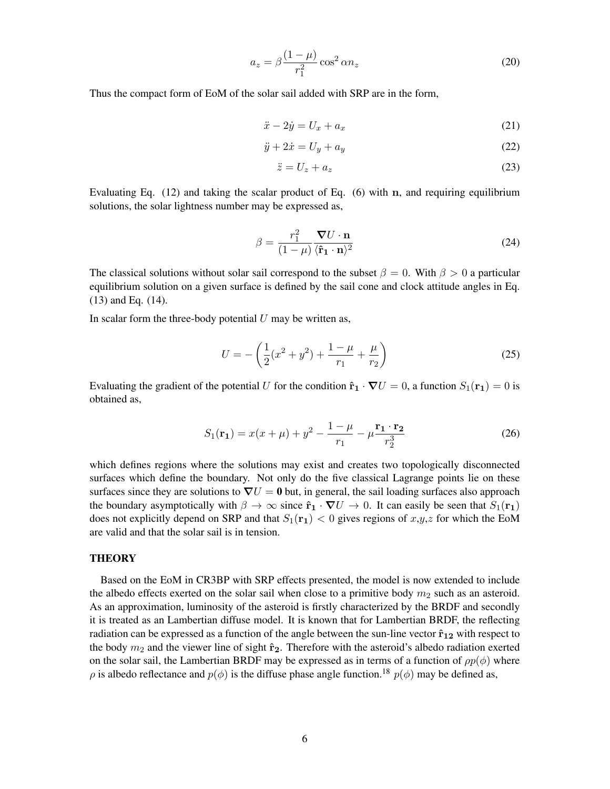$$
a_z = \beta \frac{(1 - \mu)}{r_1^2} \cos^2 \alpha n_z \tag{20}
$$

Thus the compact form of EoM of the solar sail added with SRP are in the form,

$$
\ddot{x} - 2\dot{y} = U_x + a_x \tag{21}
$$

$$
\ddot{y} + 2\dot{x} = U_y + a_y \tag{22}
$$

$$
\ddot{z} = U_z + a_z \tag{23}
$$

Evaluating Eq.  $(12)$  and taking the scalar product of Eq.  $(6)$  with n, and requiring equilibrium solutions, the solar lightness number may be expressed as,

$$
\beta = \frac{r_1^2}{(1-\mu)} \frac{\nabla U \cdot \mathbf{n}}{\langle \hat{\mathbf{r}}_1 \cdot \mathbf{n} \rangle^2}
$$
(24)

The classical solutions without solar sail correspond to the subset  $\beta = 0$ . With  $\beta > 0$  a particular equilibrium solution on a given surface is defined by the sail cone and clock attitude angles in Eq. (13) and Eq. (14).

In scalar form the three-body potential  $U$  may be written as,

$$
U = -\left(\frac{1}{2}(x^2 + y^2) + \frac{1-\mu}{r_1} + \frac{\mu}{r_2}\right)
$$
 (25)

Evaluating the gradient of the potential U for the condition  $\hat{\mathbf{r}}_1 \cdot \nabla U = 0$ , a function  $S_1(\mathbf{r}_1) = 0$  is obtained as,

$$
S_1(\mathbf{r}_1) = x(x + \mu) + y^2 - \frac{1 - \mu}{r_1} - \mu \frac{\mathbf{r}_1 \cdot \mathbf{r}_2}{r_2^3}
$$
 (26)

which defines regions where the solutions may exist and creates two topologically disconnected surfaces which define the boundary. Not only do the five classical Lagrange points lie on these surfaces since they are solutions to  $\nabla U = 0$  but, in general, the sail loading surfaces also approach the boundary asymptotically with  $\beta \to \infty$  since  $\hat{\mathbf{r}}_1 \cdot \nabla U \to 0$ . It can easily be seen that  $S_1(\mathbf{r}_1)$ does not explicitly depend on SRP and that  $S_1(\mathbf{r}_1) < 0$  gives regions of  $x,y,z$  for which the EoM are valid and that the solar sail is in tension.

## **THEORY**

Based on the EoM in CR3BP with SRP effects presented, the model is now extended to include the albedo effects exerted on the solar sail when close to a primitive body  $m_2$  such as an asteroid. As an approximation, luminosity of the asteroid is firstly characterized by the BRDF and secondly it is treated as an Lambertian diffuse model. It is known that for Lambertian BRDF, the reflecting radiation can be expressed as a function of the angle between the sun-line vector  $\hat{\mathbf{r}}_{12}$  with respect to the body  $m_2$  and the viewer line of sight  $\hat{r}_2$ . Therefore with the asteroid's albedo radiation exerted on the solar sail, the Lambertian BRDF may be expressed as in terms of a function of  $\rho p(\phi)$  where  $\rho$  is albedo reflectance and  $p(\phi)$  is the diffuse phase angle function.<sup>[18](#page-18-3)</sup>  $p(\phi)$  may be defined as,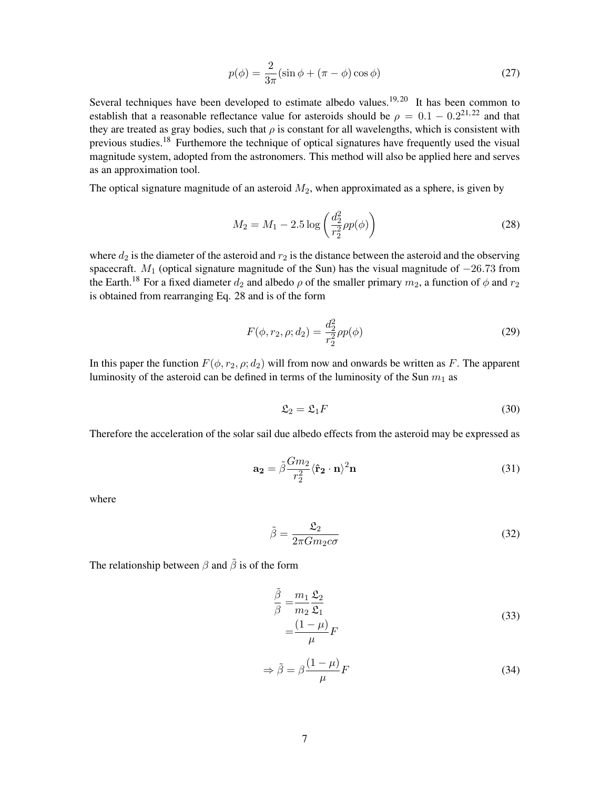$$
p(\phi) = \frac{2}{3\pi} (\sin \phi + (\pi - \phi) \cos \phi)
$$
 (27)

Several techniques have been developed to estimate albedo values.<sup>[19,](#page-18-4) [20](#page-18-5)</sup> It has been common to establish that a reasonable reflectance value for asteroids should be  $\rho = 0.1 - 0.2^{21,22}$  $\rho = 0.1 - 0.2^{21,22}$  $\rho = 0.1 - 0.2^{21,22}$  $\rho = 0.1 - 0.2^{21,22}$  and that they are treated as gray bodies, such that  $\rho$  is constant for all wavelengths, which is consistent with previous studies.<sup>[18](#page-18-3)</sup> Furthemore the technique of optical signatures have frequently used the visual magnitude system, adopted from the astronomers. This method will also be applied here and serves as an approximation tool.

The optical signature magnitude of an asteroid  $M_2$ , when approximated as a sphere, is given by

$$
M_2 = M_1 - 2.5 \log \left( \frac{d_2^2}{r_2^2} \rho p(\phi) \right)
$$
 (28)

where  $d_2$  is the diameter of the asteroid and  $r_2$  is the distance between the asteroid and the observing spacecraft. M<sub>1</sub> (optical signature magnitude of the Sun) has the visual magnitude of  $-26.73$  from the Earth.<sup>[18](#page-18-3)</sup> For a fixed diameter  $d_2$  and albedo  $\rho$  of the smaller primary  $m_2$ , a function of  $\phi$  and  $r_2$ is obtained from rearranging Eq. 28 and is of the form

$$
F(\phi, r_2, \rho; d_2) = \frac{d_2^2}{r_2^2} \rho p(\phi)
$$
\n(29)

In this paper the function  $F(\phi, r_2, \rho; d_2)$  will from now and onwards be written as F. The apparent luminosity of the asteroid can be defined in terms of the luminosity of the Sun  $m_1$  as

$$
\mathfrak{L}_2 = \mathfrak{L}_1 F \tag{30}
$$

Therefore the acceleration of the solar sail due albedo effects from the asteroid may be expressed as

$$
\mathbf{a_2} = \tilde{\beta} \frac{Gm_2}{r_2^2} \langle \hat{\mathbf{r}}_2 \cdot \mathbf{n} \rangle^2 \mathbf{n}
$$
 (31)

where

$$
\tilde{\beta} = \frac{\mathfrak{L}_2}{2\pi G m_2 c \sigma} \tag{32}
$$

The relationship between  $\beta$  and  $\tilde{\beta}$  is of the form

$$
\frac{\tilde{\beta}}{\beta} = \frac{m_1}{m_2} \frac{\mathfrak{L}_2}{\mathfrak{L}_1}
$$
\n
$$
= \frac{(1 - \mu)}{\mu} F
$$
\n(33)

$$
\Rightarrow \tilde{\beta} = \beta \frac{(1 - \mu)}{\mu} F \tag{34}
$$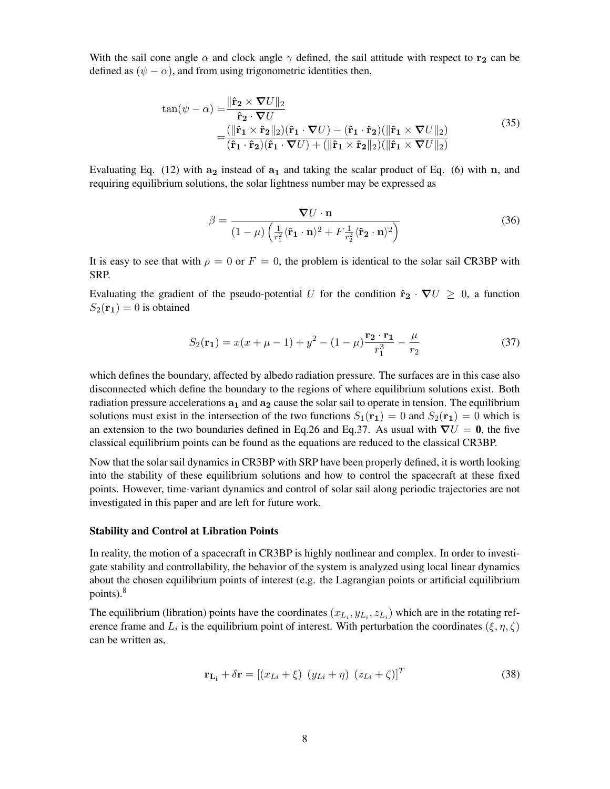With the sail cone angle  $\alpha$  and clock angle  $\gamma$  defined, the sail attitude with respect to r<sub>2</sub> can be defined as  $(\psi - \alpha)$ , and from using trigonometric identities then,

$$
\tan(\psi - \alpha) = \frac{\|\hat{\mathbf{r}}_2 \times \nabla U\|_2}{\hat{\mathbf{r}}_2 \cdot \nabla U} \n= \frac{(\|\hat{\mathbf{r}}_1 \times \hat{\mathbf{r}}_2\|_2)(\hat{\mathbf{r}}_1 \cdot \nabla U) - (\hat{\mathbf{r}}_1 \cdot \hat{\mathbf{r}}_2)(\|\hat{\mathbf{r}}_1 \times \nabla U\|_2)}{(\hat{\mathbf{r}}_1 \cdot \hat{\mathbf{r}}_2)(\hat{\mathbf{r}}_1 \cdot \nabla U) + (\|\hat{\mathbf{r}}_1 \times \hat{\mathbf{r}}_2\|_2)(\|\hat{\mathbf{r}}_1 \times \nabla U\|_2)}
$$
\n(35)

Evaluating Eq. (12) with  $a_2$  instead of  $a_1$  and taking the scalar product of Eq. (6) with n, and requiring equilibrium solutions, the solar lightness number may be expressed as

$$
\beta = \frac{\nabla U \cdot \mathbf{n}}{(1 - \mu) \left(\frac{1}{r_1^2} \langle \hat{\mathbf{r}}_1 \cdot \mathbf{n} \rangle^2 + F \frac{1}{r_2^2} \langle \hat{\mathbf{r}}_2 \cdot \mathbf{n} \rangle^2\right)}
$$
(36)

It is easy to see that with  $\rho = 0$  or  $F = 0$ , the problem is identical to the solar sail CR3BP with SRP.

Evaluating the gradient of the pseudo-potential U for the condition  $\hat{\mathbf{r}}_2 \cdot \nabla U \geq 0$ , a function  $S_2(\mathbf{r}_1) = 0$  is obtained

$$
S_2(\mathbf{r}_1) = x(x + \mu - 1) + y^2 - (1 - \mu) \frac{\mathbf{r}_2 \cdot \mathbf{r}_1}{r_1^3} - \frac{\mu}{r_2}
$$
 (37)

which defines the boundary, affected by albedo radiation pressure. The surfaces are in this case also disconnected which define the boundary to the regions of where equilibrium solutions exist. Both radiation pressure accelerations  $a_1$  and  $a_2$  cause the solar sail to operate in tension. The equilibrium solutions must exist in the intersection of the two functions  $S_1(\mathbf{r}_1) = 0$  and  $S_2(\mathbf{r}_1) = 0$  which is an extension to the two boundaries defined in Eq.26 and Eq.37. As usual with  $\nabla U = 0$ , the five classical equilibrium points can be found as the equations are reduced to the classical CR3BP.

Now that the solar sail dynamics in CR3BP with SRP have been properly defined, it is worth looking into the stability of these equilibrium solutions and how to control the spacecraft at these fixed points. However, time-variant dynamics and control of solar sail along periodic trajectories are not investigated in this paper and are left for future work.

#### Stability and Control at Libration Points

In reality, the motion of a spacecraft in CR3BP is highly nonlinear and complex. In order to investigate stability and controllability, the behavior of the system is analyzed using local linear dynamics about the chosen equilibrium points of interest (e.g. the Lagrangian points or artificial equilibrium points).[8](#page-17-7)

The equilibrium (libration) points have the coordinates  $(x_{L_i}, y_{L_i}, z_{L_i})$  which are in the rotating reference frame and  $L_i$  is the equilibrium point of interest. With perturbation the coordinates  $(\xi, \eta, \zeta)$ can be written as,

$$
\mathbf{r}_{\mathbf{L}_{\mathbf{i}}} + \delta \mathbf{r} = [(x_{Li} + \xi) (y_{Li} + \eta) (z_{Li} + \zeta)]^T
$$
\n(38)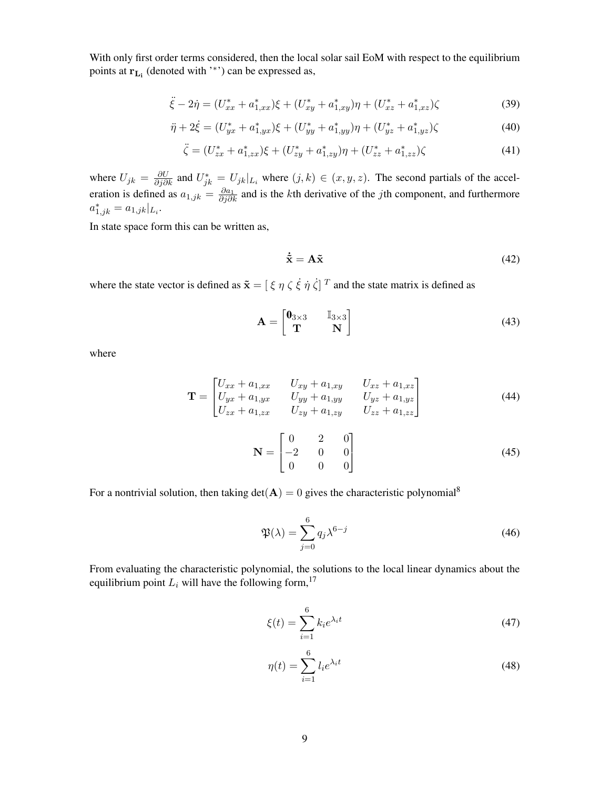With only first order terms considered, then the local solar sail EoM with respect to the equilibrium points at  $r_{L_i}$  (denoted with '\*') can be expressed as,

$$
\ddot{\xi} - 2\dot{\eta} = (U_{xx}^* + a_{1,xx}^*)\xi + (U_{xy}^* + a_{1,xy}^*)\eta + (U_{xz}^* + a_{1,xz}^*)\zeta
$$
\n(39)

$$
\ddot{\eta} + 2\dot{\xi} = (U_{yx}^* + a_{1,yx}^*)\xi + (U_{yy}^* + a_{1,yy}^*)\eta + (U_{yz}^* + a_{1,yz}^*)\zeta
$$
\n(40)

$$
\ddot{\zeta} = (U_{zx}^* + a_{1,zx}^*)\xi + (U_{zy}^* + a_{1,zy}^*)\eta + (U_{zz}^* + a_{1,zz}^*)\zeta \tag{41}
$$

where  $U_{jk} = \frac{\partial U}{\partial j \partial k}$  and  $U_{jk}^* = U_{jk}|_{L_i}$  where  $(j, k) \in (x, y, z)$ . The second partials of the acceleration is defined as  $a_{1,jk} = \frac{\partial a_1}{\partial j \partial k}$  and is the kth derivative of the jth component, and furthermore  $a_{1,jk}^* = a_{1,jk}|_{L_i}.$ 

In state space form this can be written as,

$$
\dot{\tilde{\mathbf{x}}} = \mathbf{A}\tilde{\mathbf{x}} \tag{42}
$$

where the state vector is defined as  $\tilde{\mathbf{x}} = [\xi \eta \zeta \dot{\xi} \dot{\eta} \dot{\zeta}]^{T}$  and the state matrix is defined as

$$
\mathbf{A} = \begin{bmatrix} \mathbf{0}_{3 \times 3} & \mathbb{I}_{3 \times 3} \\ \mathbf{T} & \mathbf{N} \end{bmatrix} \tag{43}
$$

where

$$
\mathbf{T} = \begin{bmatrix} U_{xx} + a_{1,xx} & U_{xy} + a_{1,xy} & U_{xz} + a_{1,xz} \\ U_{yx} + a_{1,yx} & U_{yy} + a_{1,yy} & U_{yz} + a_{1,yz} \\ U_{zx} + a_{1,zx} & U_{zy} + a_{1,zy} & U_{zz} + a_{1,zz} \end{bmatrix}
$$
(44)

$$
\mathbf{N} = \begin{bmatrix} 0 & 2 & 0 \\ -2 & 0 & 0 \\ 0 & 0 & 0 \end{bmatrix}
$$
 (45)

For a nontrivial solution, then taking  $det(A) = 0$  gives the characteristic polynomial<sup>[8](#page-17-7)</sup>

$$
\mathfrak{P}(\lambda) = \sum_{j=0}^{6} q_j \lambda^{6-j} \tag{46}
$$

From evaluating the characteristic polynomial, the solutions to the local linear dynamics about the equilibrium point  $L_i$  will have the following form,<sup>[17](#page-18-2)</sup>

$$
\xi(t) = \sum_{i=1}^{6} k_i e^{\lambda_i t} \tag{47}
$$

$$
\eta(t) = \sum_{i=1}^{6} l_i e^{\lambda_i t} \tag{48}
$$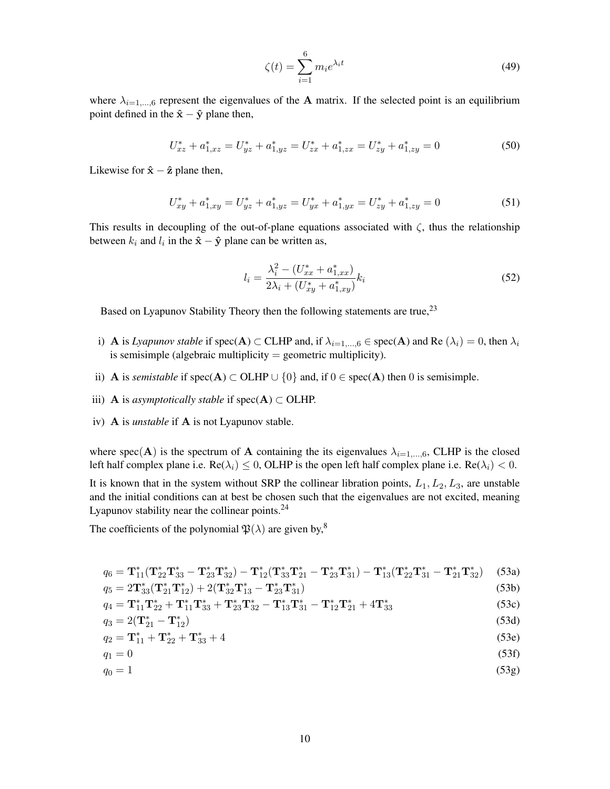$$
\zeta(t) = \sum_{i=1}^{6} m_i e^{\lambda_i t} \tag{49}
$$

where  $\lambda_{i=1,\dots,6}$  represent the eigenvalues of the **A** matrix. If the selected point is an equilibrium point defined in the  $\hat{x} - \hat{y}$  plane then,

$$
U_{xz}^* + a_{1,xz}^* = U_{yz}^* + a_{1,yz}^* = U_{zx}^* + a_{1,zx}^* = U_{zy}^* + a_{1,zy}^* = 0
$$
\n
$$
(50)
$$

Likewise for  $\hat{x} - \hat{z}$  plane then,

$$
U_{xy}^* + a_{1,xy}^* = U_{yz}^* + a_{1,yz}^* = U_{yx}^* + a_{1,yx}^* = U_{zy}^* + a_{1,zy}^* = 0
$$
\n
$$
(51)
$$

This results in decoupling of the out-of-plane equations associated with  $\zeta$ , thus the relationship between  $k_i$  and  $l_i$  in the  $\hat{\mathbf{x}} - \hat{\mathbf{y}}$  plane can be written as,

$$
l_i = \frac{\lambda_i^2 - (U_{xx}^* + a_{1,xx}^*)}{2\lambda_i + (U_{xy}^* + a_{1,xy}^*)} k_i
$$
\n<sup>(52)</sup>

Based on Lyapunov Stability Theory then the following statements are true,<sup>[23](#page-18-8)</sup>

- i) **A** is *Lyapunov stable* if spec(**A**)  $\subset$  **CLHP** and, if  $\lambda_{i=1,\dots,6} \in \text{spec}(\mathbf{A})$  and **Re**  $(\lambda_i) = 0$ , then  $\lambda_i$ is semisimple (algebraic multiplicity  $=$  geometric multiplicity).
- ii) **A** is *semistable* if spec(**A**) ⊂ OLHP  $\cup$  {0} and, if 0 ∈ spec(**A**) then 0 is semisimple.
- iii) **A** is *asymptotically stable* if spec( $A$ )  $\subset$  OLHP.
- iv) A is *unstable* if A is not Lyapunov stable.

where spec(A) is the spectrum of A containing the its eigenvalues  $\lambda_{i=1,\dots,6}$ , CLHP is the closed left half complex plane i.e.  $\text{Re}(\lambda_i) \leq 0$ , OLHP is the open left half complex plane i.e.  $\text{Re}(\lambda_i) < 0$ .

It is known that in the system without SRP the collinear libration points,  $L_1, L_2, L_3$ , are unstable and the initial conditions can at best be chosen such that the eigenvalues are not excited, meaning Lyapunov stability near the collinear points. $^{24}$  $^{24}$  $^{24}$ 

The coefficients of the polynomial  $\mathfrak{P}(\lambda)$  are given by,<sup>[8](#page-17-7)</sup>

$$
q_6 = \mathbf{T}_{11}^*(\mathbf{T}_{22}^* \mathbf{T}_{33}^* - \mathbf{T}_{23}^* \mathbf{T}_{32}^*) - \mathbf{T}_{12}^*(\mathbf{T}_{33}^* \mathbf{T}_{21}^* - \mathbf{T}_{23}^* \mathbf{T}_{31}^*) - \mathbf{T}_{13}^*(\mathbf{T}_{22}^* \mathbf{T}_{31}^* - \mathbf{T}_{21}^* \mathbf{T}_{32}^*)
$$
 (53a)  
\n
$$
q_5 = 2\mathbf{T}_{33}^*(\mathbf{T}_{21}^* \mathbf{T}_{12}^*) + 2(\mathbf{T}_{32}^* \mathbf{T}_{13}^* - \mathbf{T}_{23}^* \mathbf{T}_{31}^*)
$$
 (53b)

$$
q_4 = \mathbf{T}_{11}^* \mathbf{T}_{22}^* + \mathbf{T}_{11}^* \mathbf{T}_{33}^* + \mathbf{T}_{23}^* \mathbf{T}_{32}^* - \mathbf{T}_{13}^* \mathbf{T}_{31}^* - \mathbf{T}_{12}^* \mathbf{T}_{21}^* + 4 \mathbf{T}_{33}^* \tag{53c}
$$

$$
q_3 = 2(\mathbf{T}_{21}^* - \mathbf{T}_{12}^*)
$$
\n
$$
(53d)
$$

$$
q_2 = \mathbf{T}_{11}^* + \mathbf{T}_{22}^* + \mathbf{T}_{33}^* + 4 \tag{53e}
$$

$$
q_1 = 0 \tag{53f}
$$

$$
q_0 = 1 \tag{53g}
$$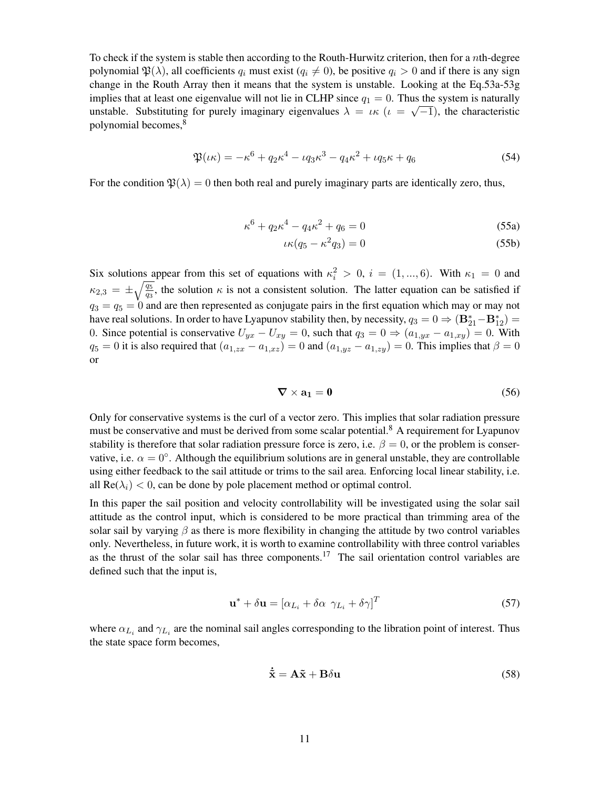To check if the system is stable then according to the Routh-Hurwitz criterion, then for a nth-degree polynomial  $\mathfrak{P}(\lambda)$ , all coefficients  $q_i$  must exist  $(q_i \neq 0)$ , be positive  $q_i > 0$  and if there is any sign change in the Routh Array then it means that the system is unstable. Looking at the Eq.53a-53g implies that at least one eigenvalue will not lie in CLHP since  $q_1 = 0$ . Thus the system is naturally unstable. Substituting for purely imaginary eigenvalues  $\lambda = \iota \kappa \; (\iota = \sqrt{-1})$ , the characteristic polynomial becomes,[8](#page-17-7)

$$
\mathfrak{P}(\iota\kappa) = -\kappa^6 + q_2\kappa^4 - \iota q_3\kappa^3 - q_4\kappa^2 + \iota q_5\kappa + q_6 \tag{54}
$$

For the condition  $\mathfrak{B}(\lambda) = 0$  then both real and purely imaginary parts are identically zero, thus,

$$
\kappa^6 + q_2 \kappa^4 - q_4 \kappa^2 + q_6 = 0 \tag{55a}
$$

$$
\iota \kappa (q_5 - \kappa^2 q_3) = 0 \tag{55b}
$$

Six solutions appear from this set of equations with  $\kappa_i^2 > 0$ ,  $i = (1, ..., 6)$ . With  $\kappa_1 = 0$  and  $\kappa_{2,3} = \pm \sqrt{\frac{q_5}{q_3}}$ , the solution  $\kappa$  is not a consistent solution. The latter equation can be satisfied if  $q_3 = q_5 = 0$  and are then represented as conjugate pairs in the first equation which may or may not have real solutions. In order to have Lyapunov stability then, by necessity,  $q_3 = 0 \Rightarrow (\mathbf{B}_{21}^* - \mathbf{B}_{12}^*) =$ 0. Since potential is conservative  $U_{yx} - U_{xy} = 0$ , such that  $q_3 = 0 \Rightarrow (a_{1,yx} - a_{1,xy}) = 0$ . With  $q_5 = 0$  it is also required that  $(a_{1,zx} - a_{1,xz}) = 0$  and  $(a_{1,yz} - a_{1,zy}) = 0$ . This implies that  $\beta = 0$ or

$$
\nabla \times \mathbf{a_1} = \mathbf{0} \tag{56}
$$

Only for conservative systems is the curl of a vector zero. This implies that solar radiation pressure must be conservative and must be derived from some scalar potential.<sup>[8](#page-17-7)</sup> A requirement for Lyapunov stability is therefore that solar radiation pressure force is zero, i.e.  $\beta = 0$ , or the problem is conservative, i.e.  $\alpha = 0^{\circ}$ . Although the equilibrium solutions are in general unstable, they are controllable using either feedback to the sail attitude or trims to the sail area. Enforcing local linear stability, i.e. all  $\text{Re}(\lambda_i) < 0$ , can be done by pole placement method or optimal control.

In this paper the sail position and velocity controllability will be investigated using the solar sail attitude as the control input, which is considered to be more practical than trimming area of the solar sail by varying  $\beta$  as there is more flexibility in changing the attitude by two control variables only. Nevertheless, in future work, it is worth to examine controllability with three control variables as the thrust of the solar sail has three components.<sup>[17](#page-18-2)</sup> The sail orientation control variables are defined such that the input is,

$$
\mathbf{u}^* + \delta \mathbf{u} = [\alpha_{L_i} + \delta \alpha \ \gamma_{L_i} + \delta \gamma]^T \tag{57}
$$

where  $\alpha_{L_i}$  and  $\gamma_{L_i}$  are the nominal sail angles corresponding to the libration point of interest. Thus the state space form becomes,

$$
\dot{\tilde{\mathbf{x}}} = \mathbf{A}\tilde{\mathbf{x}} + \mathbf{B}\delta\mathbf{u}
$$
 (58)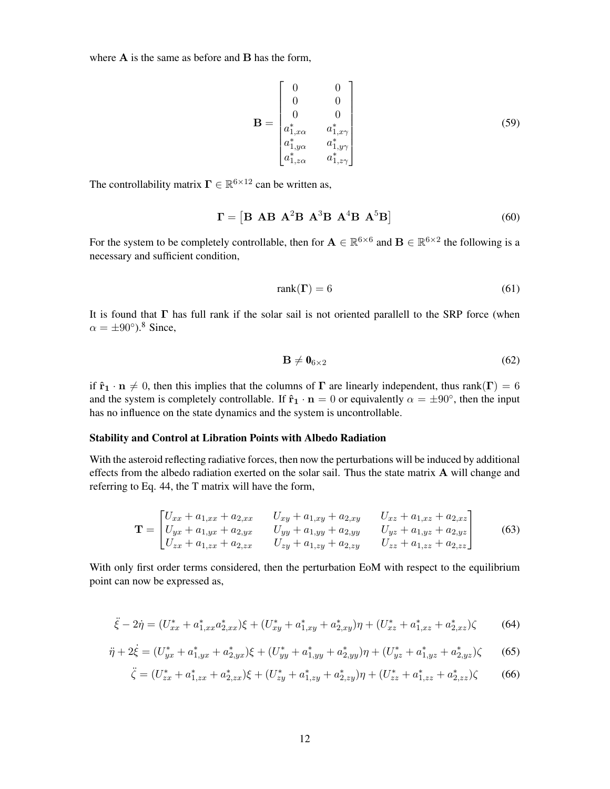where  $A$  is the same as before and  $B$  has the form,

$$
\mathbf{B} = \begin{bmatrix} 0 & 0 \\ 0 & 0 \\ 0 & 0 \\ a_{1,x\alpha}^* & a_{1,x\gamma}^* \\ a_{1,y\alpha}^* & a_{1,y\gamma}^* \\ a_{1,z\alpha}^* & a_{1,z\gamma}^* \end{bmatrix}
$$
(59)

The controllability matrix  $\mathbf{\Gamma} \in \mathbb{R}^{6 \times 12}$  can be written as,

$$
\Gamma = \left[ \mathbf{B} \mathbf{A} \mathbf{B} \mathbf{A}^2 \mathbf{B} \mathbf{A}^3 \mathbf{B} \mathbf{A}^4 \mathbf{B} \mathbf{A}^5 \mathbf{B} \right] \tag{60}
$$

For the system to be completely controllable, then for  $\mathbf{A} \in \mathbb{R}^{6 \times 6}$  and  $\mathbf{B} \in \mathbb{R}^{6 \times 2}$  the following is a necessary and sufficient condition,

$$
rank(\Gamma) = 6 \tag{61}
$$

It is found that  $\Gamma$  has full rank if the solar sail is not oriented parallell to the SRP force (when  $\alpha = \pm 90^{\circ}$ ).<sup>[8](#page-17-7)</sup> Since,

$$
\mathbf{B} \neq \mathbf{0}_{6 \times 2} \tag{62}
$$

if  $\hat{\mathbf{r}}_1 \cdot \mathbf{n} \neq 0$ , then this implies that the columns of  $\Gamma$  are linearly independent, thus rank( $\Gamma$ ) = 6 and the system is completely controllable. If  $\hat{\mathbf{r}}_1 \cdot \mathbf{n} = 0$  or equivalently  $\alpha = \pm 90^{\circ}$ , then the input has no influence on the state dynamics and the system is uncontrollable.

## Stability and Control at Libration Points with Albedo Radiation

With the asteroid reflecting radiative forces, then now the perturbations will be induced by additional effects from the albedo radiation exerted on the solar sail. Thus the state matrix A will change and referring to Eq. 44, the T matrix will have the form,

$$
\mathbf{T} = \begin{bmatrix} U_{xx} + a_{1,xx} + a_{2,xx} & U_{xy} + a_{1,xy} + a_{2,xy} & U_{xz} + a_{1,xz} + a_{2,xz} \\ U_{yx} + a_{1,yx} + a_{2,yx} & U_{yy} + a_{1,yy} + a_{2,yy} & U_{yz} + a_{1,yz} + a_{2,yz} \\ U_{zx} + a_{1,zx} + a_{2,zx} & U_{zy} + a_{1,zy} + a_{2,zy} & U_{zz} + a_{1,zz} + a_{2,zz} \end{bmatrix}
$$
(63)

With only first order terms considered, then the perturbation EoM with respect to the equilibrium point can now be expressed as,

$$
\ddot{\xi} - 2\dot{\eta} = (U_{xx}^* + a_{1,xx}^* a_{2,xx}^*)\xi + (U_{xy}^* + a_{1,xy}^* + a_{2,xy}^*)\eta + (U_{xz}^* + a_{1,xz}^* + a_{2,xz}^*)\zeta \tag{64}
$$

$$
\ddot{\eta} + 2\dot{\xi} = (U_{yx}^* + a_{1,yx}^* + a_{2,yx}^*)\xi + (U_{yy}^* + a_{1,yy}^* + a_{2,yy}^*)\eta + (U_{yz}^* + a_{1,yz}^* + a_{2,yz}^*)\zeta \tag{65}
$$

$$
\ddot{\zeta} = (U_{zx}^* + a_{1,zx}^* + a_{2,zx}^*)\xi + (U_{zy}^* + a_{1,zy}^* + a_{2,zy}^*)\eta + (U_{zz}^* + a_{1,zz}^* + a_{2,zz}^*)\zeta \tag{66}
$$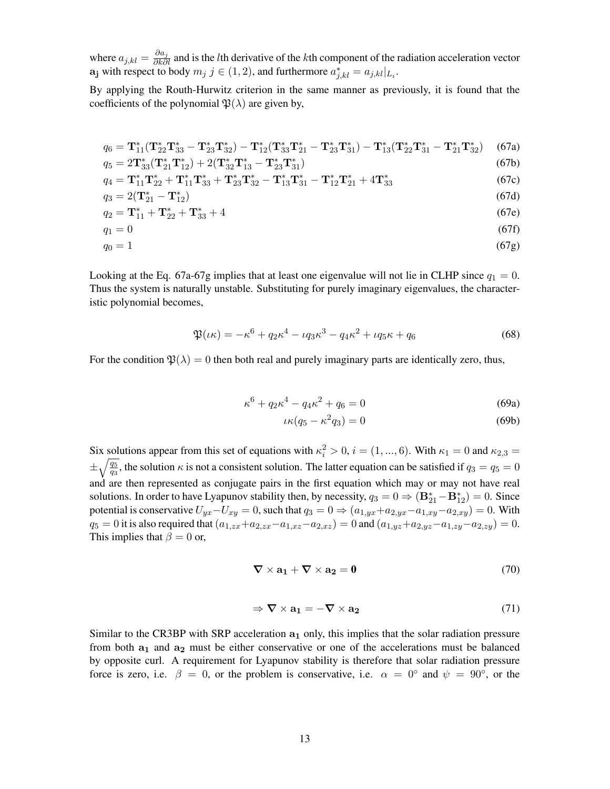where  $a_{j,kl} = \frac{\partial a_j}{\partial k \partial l}$  and is the *l*th derivative of the *k*th component of the radiation acceleration vector  $\mathbf{a_j}$  with respect to body  $m_j$   $j \in (1,2)$ , and furthermore  $a_{j,kl}^* = a_{j,kl}|_{L_i}$ .

By applying the Routh-Hurwitz criterion in the same manner as previously, it is found that the coefficients of the polynomial  $\mathfrak{P}(\lambda)$  are given by,

$$
q_6 = \mathbf{T}_{11}^* (\mathbf{T}_{22}^* \mathbf{T}_{33}^* - \mathbf{T}_{23}^* \mathbf{T}_{32}^*) - \mathbf{T}_{12}^* (\mathbf{T}_{33}^* \mathbf{T}_{21}^* - \mathbf{T}_{23}^* \mathbf{T}_{31}^*) - \mathbf{T}_{13}^* (\mathbf{T}_{22}^* \mathbf{T}_{31}^* - \mathbf{T}_{21}^* \mathbf{T}_{32}^*)
$$
(67a)

$$
q_5 = 2\mathbf{T}_{33}^*(\mathbf{T}_{21}^*\mathbf{T}_{12}^*) + 2(\mathbf{T}_{32}^*\mathbf{T}_{13}^* - \mathbf{T}_{23}^*\mathbf{T}_{31}^*)
$$
(67b)

$$
q_4 = \mathbf{T}_{11}^* \mathbf{T}_{22}^* + \mathbf{T}_{11}^* \mathbf{T}_{33}^* + \mathbf{T}_{23}^* \mathbf{T}_{32}^* - \mathbf{T}_{13}^* \mathbf{T}_{31}^* - \mathbf{T}_{12}^* \mathbf{T}_{21}^* + 4 \mathbf{T}_{33}^* \tag{67c}
$$

$$
q_3 = 2(\mathbf{T}_{21}^* - \mathbf{T}_{12}^*)
$$
\n(67d)

$$
q_2 = \mathbf{T}_{11}^* + \mathbf{T}_{22}^* + \mathbf{T}_{33}^* + 4 \tag{67e}
$$

$$
q_1 = 0 \tag{67f}
$$

$$
q_0 = 1 \tag{67g}
$$

Looking at the Eq. 67a-67g implies that at least one eigenvalue will not lie in CLHP since  $q_1 = 0$ . Thus the system is naturally unstable. Substituting for purely imaginary eigenvalues, the characteristic polynomial becomes,

$$
\mathfrak{P}(\iota \kappa) = -\kappa^6 + q_2 \kappa^4 - \iota q_3 \kappa^3 - q_4 \kappa^2 + \iota q_5 \kappa + q_6 \tag{68}
$$

For the condition  $\mathfrak{B}(\lambda) = 0$  then both real and purely imaginary parts are identically zero, thus,

$$
\kappa^6 + q_2 \kappa^4 - q_4 \kappa^2 + q_6 = 0 \tag{69a}
$$

$$
\iota \kappa (q_5 - \kappa^2 q_3) = 0 \tag{69b}
$$

Six solutions appear from this set of equations with  $\kappa_i^2 > 0$ ,  $i = (1, ..., 6)$ . With  $\kappa_1 = 0$  and  $\kappa_{2,3} =$  $\pm\sqrt{\frac{q_5}{q_3}}$ , the solution  $\kappa$  is not a consistent solution. The latter equation can be satisfied if  $q_3=q_5=0$ and are then represented as conjugate pairs in the first equation which may or may not have real solutions. In order to have Lyapunov stability then, by necessity,  $q_3 = 0 \Rightarrow (\mathbf{B}_{21}^* - \mathbf{B}_{12}^*) = 0$ . Since potential is conservative  $U_{yx}-U_{xy}=0$ , such that  $q_3=0 \Rightarrow (a_{1,yx}+a_{2,yx}-a_{1,xy}-a_{2,xy})=0$ . With  $q_5 = 0$  it is also required that  $(a_{1,zx} + a_{2,zx} - a_{1,xz} - a_{2,xz}) = 0$  and  $(a_{1,yz} + a_{2,yz} - a_{1,zy} - a_{2,zy}) = 0$ . This implies that  $\beta = 0$  or,

$$
\nabla \times \mathbf{a_1} + \nabla \times \mathbf{a_2} = \mathbf{0} \tag{70}
$$

$$
\Rightarrow \nabla \times \mathbf{a_1} = -\nabla \times \mathbf{a_2} \tag{71}
$$

Similar to the CR3BP with SRP acceleration  $a_1$  only, this implies that the solar radiation pressure from both  $a_1$  and  $a_2$  must be either conservative or one of the accelerations must be balanced by opposite curl. A requirement for Lyapunov stability is therefore that solar radiation pressure force is zero, i.e.  $\beta = 0$ , or the problem is conservative, i.e.  $\alpha = 0^{\circ}$  and  $\psi = 90^{\circ}$ , or the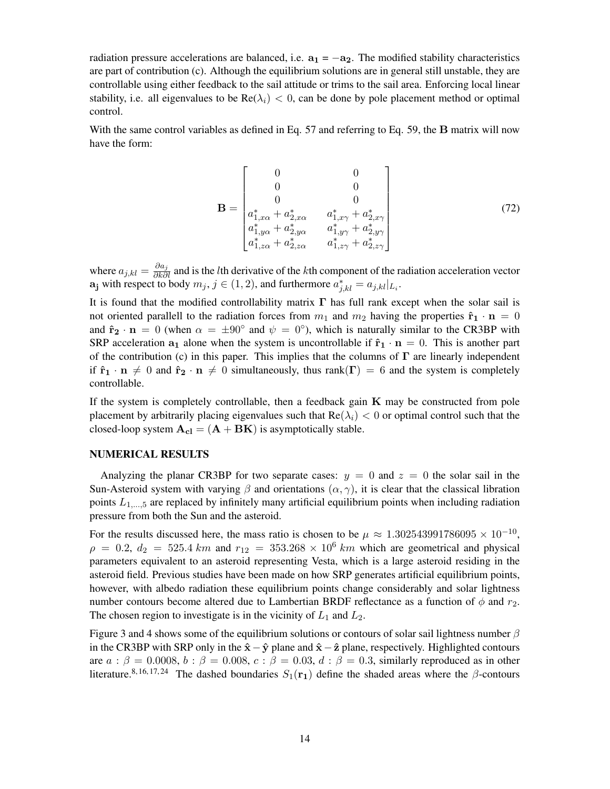radiation pressure accelerations are balanced, i.e.  $a_1 = -a_2$ . The modified stability characteristics are part of contribution (c). Although the equilibrium solutions are in general still unstable, they are controllable using either feedback to the sail attitude or trims to the sail area. Enforcing local linear stability, i.e. all eigenvalues to be  $\text{Re}(\lambda_i) < 0$ , can be done by pole placement method or optimal control.

With the same control variables as defined in Eq. 57 and referring to Eq. 59, the **B** matrix will now have the form:

$$
\mathbf{B} = \begin{bmatrix} 0 & 0 & 0 \\ 0 & 0 & 0 \\ a_{1, x\alpha}^* + a_{2, x\alpha}^* & a_{1, x\gamma}^* + a_{2, x\gamma}^* \\ a_{1, y\alpha}^* + a_{2, y\alpha}^* & a_{1, y\gamma}^* + a_{2, y\gamma}^* \\ a_{1, z\alpha}^* + a_{2, z\alpha}^* & a_{1, z\gamma}^* + a_{2, z\gamma}^* \end{bmatrix} \tag{72}
$$

where  $a_{j,kl} = \frac{\partial a_j}{\partial k \partial l}$  and is the *l*th derivative of the *k*th component of the radiation acceleration vector  $\mathbf{a_j}$  with respect to body  $m_j$ ,  $j \in (1,2)$ , and furthermore  $a_{j,kl}^* = a_{j,kl}|_{L_i}$ .

It is found that the modified controllability matrix  $\Gamma$  has full rank except when the solar sail is not oriented parallell to the radiation forces from  $m_1$  and  $m_2$  having the properties  $\hat{\mathbf{r}}_1 \cdot \mathbf{n} = 0$ and  $\hat{\mathbf{r}}_2 \cdot \mathbf{n} = 0$  (when  $\alpha = \pm 90^\circ$  and  $\psi = 0^\circ$ ), which is naturally similar to the CR3BP with SRP acceleration  $a_1$  alone when the system is uncontrollable if  $\hat{\mathbf{r}}_1 \cdot \mathbf{n} = 0$ . This is another part of the contribution (c) in this paper. This implies that the columns of  $\Gamma$  are linearly independent if  $\mathbf{\hat{r}}_1 \cdot \mathbf{n} \neq 0$  and  $\mathbf{\hat{r}}_2 \cdot \mathbf{n} \neq 0$  simultaneously, thus rank( $\mathbf{\Gamma}$ ) = 6 and the system is completely controllable.

If the system is completely controllable, then a feedback gain  $K$  may be constructed from pole placement by arbitrarily placing eigenvalues such that  $Re(\lambda_i) < 0$  or optimal control such that the closed-loop system  $A_{cl} = (A + BK)$  is asymptotically stable.

## NUMERICAL RESULTS

Analyzing the planar CR3BP for two separate cases:  $y = 0$  and  $z = 0$  the solar sail in the Sun-Asteroid system with varying  $\beta$  and orientations  $(\alpha, \gamma)$ , it is clear that the classical libration points  $L_{1,\dots,5}$  are replaced by infinitely many artificial equilibrium points when including radiation pressure from both the Sun and the asteroid.

For the results discussed here, the mass ratio is chosen to be  $\mu \approx 1.302543991786095 \times 10^{-10}$ ,  $\rho = 0.2$ ,  $d_2 = 525.4 \text{ km}$  and  $r_{12} = 353.268 \times 10^6 \text{ km}$  which are geometrical and physical parameters equivalent to an asteroid representing Vesta, which is a large asteroid residing in the asteroid field. Previous studies have been made on how SRP generates artificial equilibrium points, however, with albedo radiation these equilibrium points change considerably and solar lightness number contours become altered due to Lambertian BRDF reflectance as a function of  $\phi$  and  $r_2$ . The chosen region to investigate is in the vicinity of  $L_1$  and  $L_2$ .

Figure 3 and 4 shows some of the equilibrium solutions or contours of solar sail lightness number  $\beta$ in the CR3BP with SRP only in the  $\hat{x}-\hat{y}$  plane and  $\hat{x}-\hat{z}$  plane, respectively. Highlighted contours are  $a : \beta = 0.0008$ ,  $b : \beta = 0.008$ ,  $c : \beta = 0.03$ ,  $d : \beta = 0.3$ , similarly reproduced as in other literature.<sup>[8,](#page-17-7) [16,](#page-18-1) [17,](#page-18-2) [24](#page-18-9)</sup> The dashed boundaries  $S_1(\mathbf{r}_1)$  define the shaded areas where the β-contours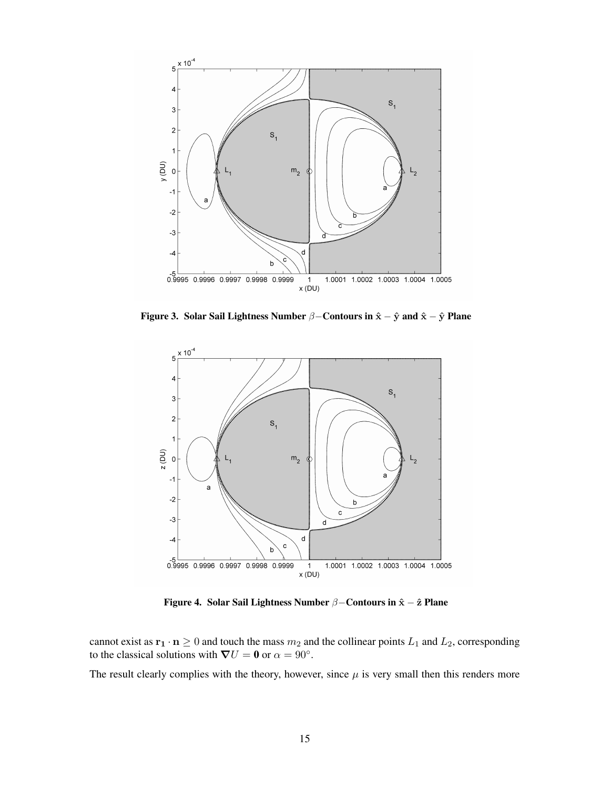

Figure 3. Solar Sail Lightness Number  $\beta$ –Contours in  $\hat{x} - \hat{y}$  and  $\hat{x} - \hat{y}$  Plane



Figure 4. Solar Sail Lightness Number  $\beta$ –Contours in  $\hat{x} - \hat{z}$  Plane

cannot exist as  $\mathbf{r}_1 \cdot \mathbf{n} \geq 0$  and touch the mass  $m_2$  and the collinear points  $L_1$  and  $L_2$ , corresponding to the classical solutions with  $\nabla U = 0$  or  $\alpha = 90^{\circ}$ .

The result clearly complies with the theory, however, since  $\mu$  is very small then this renders more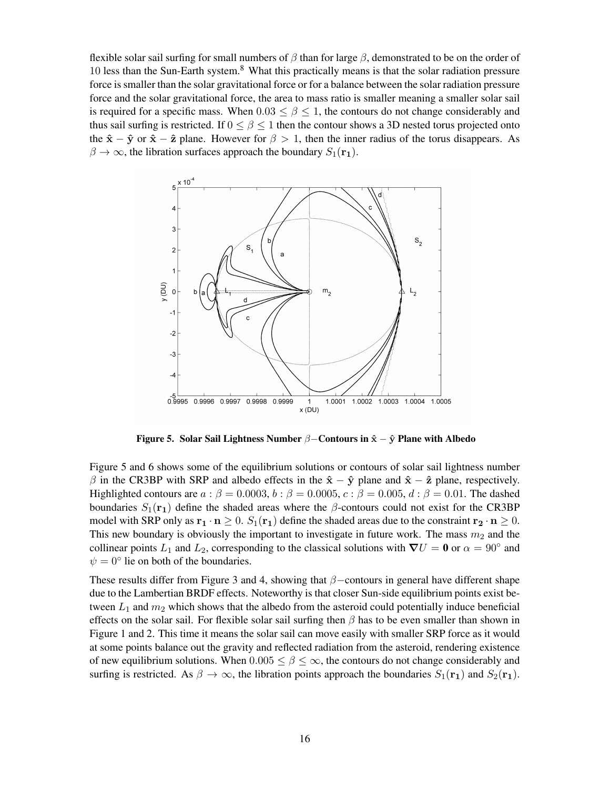flexible solar sail surfing for small numbers of  $\beta$  than for large  $\beta$ , demonstrated to be on the order of 10 less than the Sun-Earth system.<sup>[8](#page-17-7)</sup> What this practically means is that the solar radiation pressure force is smaller than the solar gravitational force or for a balance between the solar radiation pressure force and the solar gravitational force, the area to mass ratio is smaller meaning a smaller solar sail is required for a specific mass. When  $0.03 \le \beta \le 1$ , the contours do not change considerably and thus sail surfing is restricted. If  $0 \le \beta \le 1$  then the contour shows a 3D nested torus projected onto the  $\hat{\mathbf{x}} - \hat{\mathbf{y}}$  or  $\hat{\mathbf{x}} - \hat{\mathbf{z}}$  plane. However for  $\beta > 1$ , then the inner radius of the torus disappears. As  $\beta \to \infty$ , the libration surfaces approach the boundary  $S_1(\mathbf{r}_1)$ .



Figure 5. Solar Sail Lightness Number  $\beta$ –Contours in  $\hat{x} - \hat{y}$  Plane with Albedo

Figure 5 and 6 shows some of the equilibrium solutions or contours of solar sail lightness number  $\beta$  in the CR3BP with SRP and albedo effects in the  $\hat{x} - \hat{y}$  plane and  $\hat{x} - \hat{z}$  plane, respectively. Highlighted contours are  $a : \beta = 0.0003$ ,  $b : \beta = 0.0005$ ,  $c : \beta = 0.005$ ,  $d : \beta = 0.01$ . The dashed boundaries  $S_1(\mathbf{r}_1)$  define the shaded areas where the  $\beta$ -contours could not exist for the CR3BP model with SRP only as  $\mathbf{r_1} \cdot \mathbf{n} \geq 0$ .  $S_1(\mathbf{r_1})$  define the shaded areas due to the constraint  $\mathbf{r_2} \cdot \mathbf{n} \geq 0$ . This new boundary is obviously the important to investigate in future work. The mass  $m_2$  and the collinear points  $L_1$  and  $L_2$ , corresponding to the classical solutions with  $\nabla U = \mathbf{0}$  or  $\alpha = 90^\circ$  and  $\psi = 0^\circ$  lie on both of the boundaries.

These results differ from Figure 3 and 4, showing that  $\beta$ –contours in general have different shape due to the Lambertian BRDF effects. Noteworthy is that closer Sun-side equilibrium points exist between  $L_1$  and  $m_2$  which shows that the albedo from the asteroid could potentially induce beneficial effects on the solar sail. For flexible solar sail surfing then  $\beta$  has to be even smaller than shown in Figure 1 and 2. This time it means the solar sail can move easily with smaller SRP force as it would at some points balance out the gravity and reflected radiation from the asteroid, rendering existence of new equilibrium solutions. When  $0.005 \le \beta \le \infty$ , the contours do not change considerably and surfing is restricted. As  $\beta \to \infty$ , the libration points approach the boundaries  $S_1(\mathbf{r}_1)$  and  $S_2(\mathbf{r}_1)$ .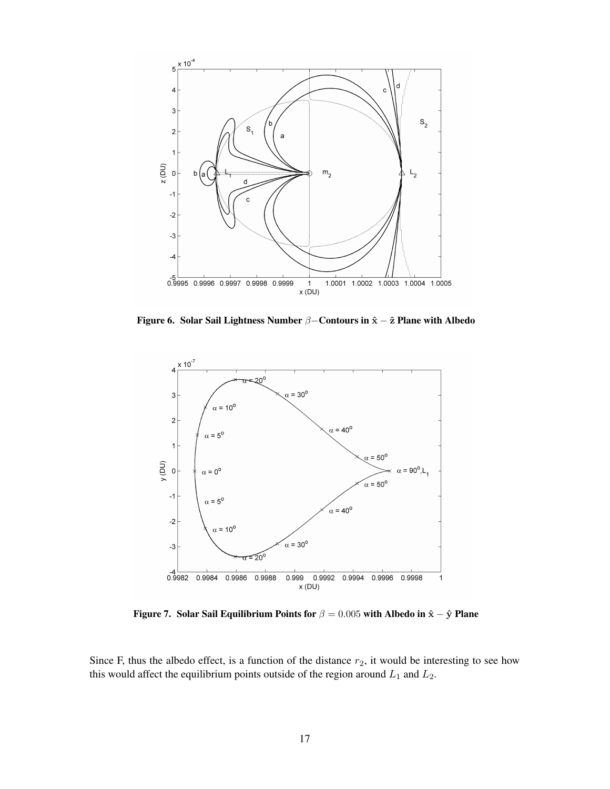

Figure 6. Solar Sail Lightness Number β–Contours in  $\hat{\mathbf{x}} - \hat{\mathbf{z}}$  Plane with Albedo



Figure 7. Solar Sail Equilibrium Points for  $\beta = 0.005$  with Albedo in  $\hat{\mathbf{x}} - \hat{\mathbf{y}}$  Plane

Since F, thus the albedo effect, is a function of the distance  $r_2$ , it would be interesting to see how this would affect the equilibrium points outside of the region around  $L_1$  and  $L_2$ .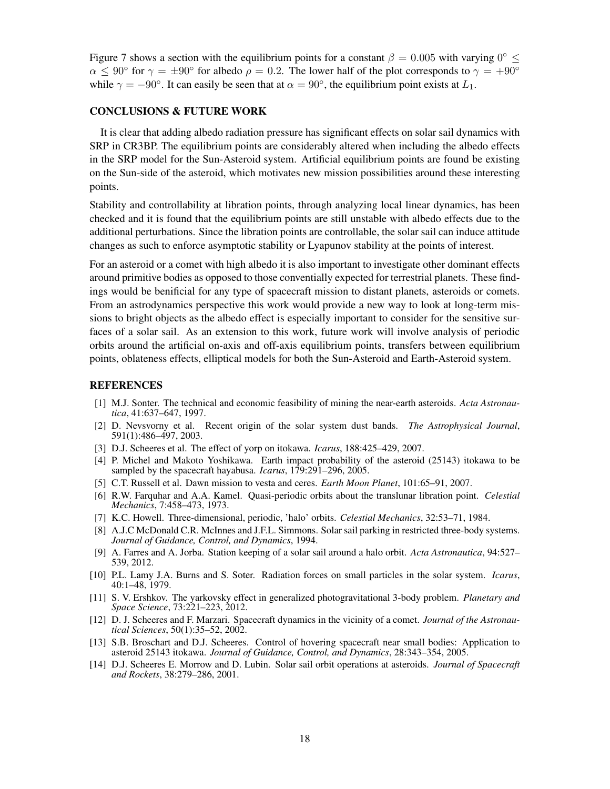Figure 7 shows a section with the equilibrium points for a constant  $\beta = 0.005$  with varying  $0^{\circ} \leq$  $\alpha \le 90^{\circ}$  for  $\gamma = \pm 90^{\circ}$  for albedo  $\rho = 0.2$ . The lower half of the plot corresponds to  $\gamma = +90^{\circ}$ while  $\gamma = -90^\circ$ . It can easily be seen that at  $\alpha = 90^\circ$ , the equilibrium point exists at  $L_1$ .

## CONCLUSIONS & FUTURE WORK

It is clear that adding albedo radiation pressure has significant effects on solar sail dynamics with SRP in CR3BP. The equilibrium points are considerably altered when including the albedo effects in the SRP model for the Sun-Asteroid system. Artificial equilibrium points are found be existing on the Sun-side of the asteroid, which motivates new mission possibilities around these interesting points.

Stability and controllability at libration points, through analyzing local linear dynamics, has been checked and it is found that the equilibrium points are still unstable with albedo effects due to the additional perturbations. Since the libration points are controllable, the solar sail can induce attitude changes as such to enforce asymptotic stability or Lyapunov stability at the points of interest.

For an asteroid or a comet with high albedo it is also important to investigate other dominant effects around primitive bodies as opposed to those conventially expected for terrestrial planets. These findings would be benificial for any type of spacecraft mission to distant planets, asteroids or comets. From an astrodynamics perspective this work would provide a new way to look at long-term missions to bright objects as the albedo effect is especially important to consider for the sensitive surfaces of a solar sail. As an extension to this work, future work will involve analysis of periodic orbits around the artificial on-axis and off-axis equilibrium points, transfers between equilibrium points, oblateness effects, elliptical models for both the Sun-Asteroid and Earth-Asteroid system.

#### REFERENCES

- <span id="page-17-0"></span>[1] M.J. Sonter. The technical and economic feasibility of mining the near-earth asteroids. *Acta Astronautica*, 41:637–647, 1997.
- <span id="page-17-1"></span>[2] D. Nevsvorny et al. Recent origin of the solar system dust bands. *The Astrophysical Journal*, 591(1):486–497, 2003.
- <span id="page-17-2"></span>[3] D.J. Scheeres et al. The effect of yorp on itokawa. *Icarus*, 188:425–429, 2007.
- <span id="page-17-3"></span>[4] P. Michel and Makoto Yoshikawa. Earth impact probability of the asteroid (25143) itokawa to be sampled by the spacecraft hayabusa. *Icarus*, 179:291–296, 2005.
- <span id="page-17-5"></span><span id="page-17-4"></span>[5] C.T. Russell et al. Dawn mission to vesta and ceres. *Earth Moon Planet*, 101:65–91, 2007.
- [6] R.W. Farquhar and A.A. Kamel. Quasi-periodic orbits about the translunar libration point. *Celestial Mechanics*, 7:458–473, 1973.
- <span id="page-17-6"></span>[7] K.C. Howell. Three-dimensional, periodic, 'halo' orbits. *Celestial Mechanics*, 32:53–71, 1984.
- <span id="page-17-7"></span>[8] A.J.C McDonald C.R. McInnes and J.F.L. Simmons. Solar sail parking in restricted three-body systems. *Journal of Guidance, Control, and Dynamics*, 1994.
- <span id="page-17-8"></span>[9] A. Farres and A. Jorba. Station keeping of a solar sail around a halo orbit. *Acta Astronautica*, 94:527– 539, 2012.
- <span id="page-17-9"></span>[10] P.L. Lamy J.A. Burns and S. Soter. Radiation forces on small particles in the solar system. *Icarus*, 40:1–48, 1979.
- <span id="page-17-10"></span>[11] S. V. Ershkov. The yarkovsky effect in generalized photogravitational 3-body problem. *Planetary and Space Science*, 73:221–223, 2012.
- <span id="page-17-11"></span>[12] D. J. Scheeres and F. Marzari. Spacecraft dynamics in the vicinity of a comet. *Journal of the Astronautical Sciences*, 50(1):35–52, 2002.
- <span id="page-17-12"></span>[13] S.B. Broschart and D.J. Scheeres. Control of hovering spacecraft near small bodies: Application to asteroid 25143 itokawa. *Journal of Guidance, Control, and Dynamics*, 28:343–354, 2005.
- <span id="page-17-13"></span>[14] D.J. Scheeres E. Morrow and D. Lubin. Solar sail orbit operations at asteroids. *Journal of Spacecraft and Rockets*, 38:279–286, 2001.